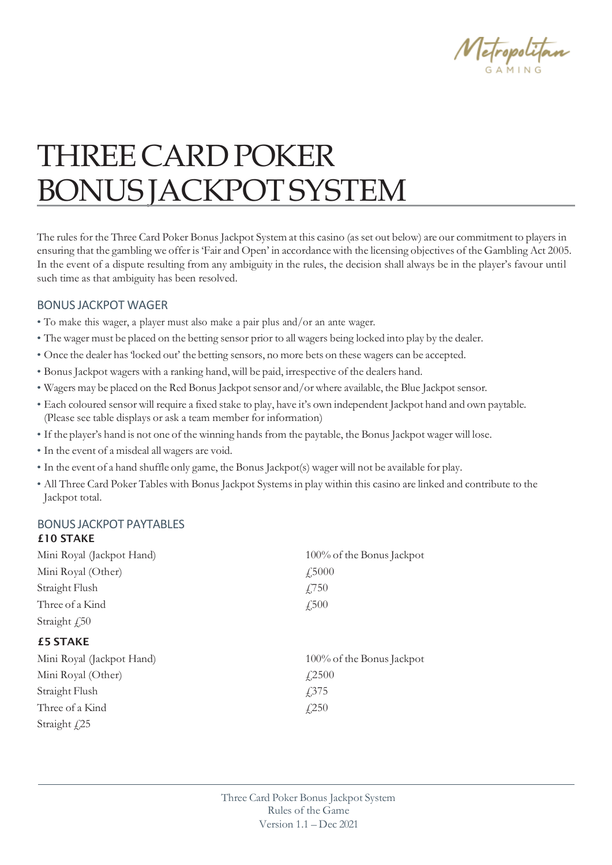

# THREECARDPOKER BONUS JACKPOTSYSTEM

The rules for the Three Card Poker Bonus Jackpot System at this casino (asset out below) are our commitment to players in ensuring that the gambling we offer is'Fair and Open' in accordance with the licensing objectives of the Gambling Act 2005. In the event of a dispute resulting from any ambiguity in the rules, the decision shall always be in the player's favour until such time as that ambiguity has been resolved.

#### BONUS JACKPOT WAGER

- To make this wager, a player must also make a pair plus and/or an ante wager.
- The wager must be placed on the betting sensor prior to all wagers being locked into play by the dealer.
- Once the dealer has'locked out' the betting sensors, no more bets on these wagers can be accepted.
- Bonus Jackpot wagers with a ranking hand, will be paid, irrespective of the dealers hand.
- Wagers may be placed on the Red Bonus Jackpot sensor and/or where available, the Blue Jackpot sensor.
- Each coloured sensor will require a fixed stake to play, have it's own independent Jackpot hand and own paytable. (Please see table displays or ask a team member for information)
- If the player's hand is not one of the winning hands from the paytable, the Bonus Jackpot wager will lose.
- In the event of a misdeal all wagers are void.
- In the event of a hand shuffle only game, the Bonus Jackpot(s) wager will not be available for play.
- All Three Card Poker Tables with Bonus Jackpot Systemsin play within this casino are linked and contribute to the Jackpot total.

## BONUS JACKPOT PAYTABLES

£10 STAKE

| Mini Royal (Jackpot Hand) | 100% of the Bonus Jackpot |
|---------------------------|---------------------------|
| Mini Royal (Other)        | f,5000                    |
| Straight Flush            | £,750                     |
| Three of a Kind           | $\sqrt{.500}$             |
| Straight $f_{150}$        |                           |
| <b>£5 STAKE</b>           |                           |
| Mini Royal (Jackpot Hand) | 100% of the Bonus Jackpot |
| Mini Royal (Other)        | $\angle 2500$             |
| Straight Flush            | £375                      |
| Three of a Kind           | f(250)                    |
| Straight $f25$            |                           |